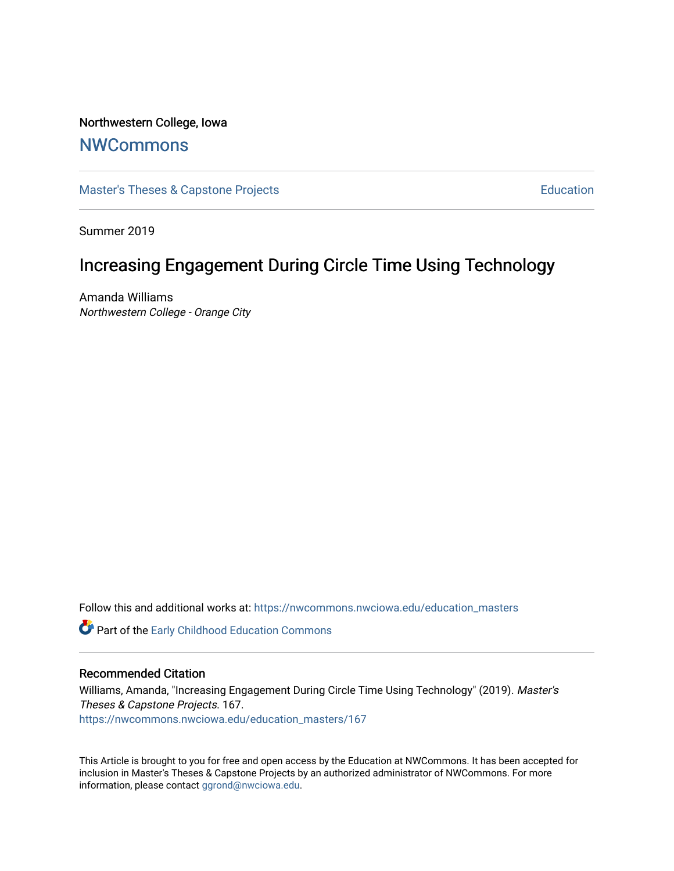Northwestern College, Iowa

### **[NWCommons](https://nwcommons.nwciowa.edu/)**

[Master's Theses & Capstone Projects](https://nwcommons.nwciowa.edu/education_masters) **Education** Education

Summer 2019

# Increasing Engagement During Circle Time Using Technology

Amanda Williams Northwestern College - Orange City

Follow this and additional works at: [https://nwcommons.nwciowa.edu/education\\_masters](https://nwcommons.nwciowa.edu/education_masters?utm_source=nwcommons.nwciowa.edu%2Feducation_masters%2F167&utm_medium=PDF&utm_campaign=PDFCoverPages)

**C** Part of the Early Childhood Education Commons

#### Recommended Citation

Williams, Amanda, "Increasing Engagement During Circle Time Using Technology" (2019). Master's Theses & Capstone Projects. 167. [https://nwcommons.nwciowa.edu/education\\_masters/167](https://nwcommons.nwciowa.edu/education_masters/167?utm_source=nwcommons.nwciowa.edu%2Feducation_masters%2F167&utm_medium=PDF&utm_campaign=PDFCoverPages)

This Article is brought to you for free and open access by the Education at NWCommons. It has been accepted for inclusion in Master's Theses & Capstone Projects by an authorized administrator of NWCommons. For more information, please contact [ggrond@nwciowa.edu](mailto:ggrond@nwciowa.edu).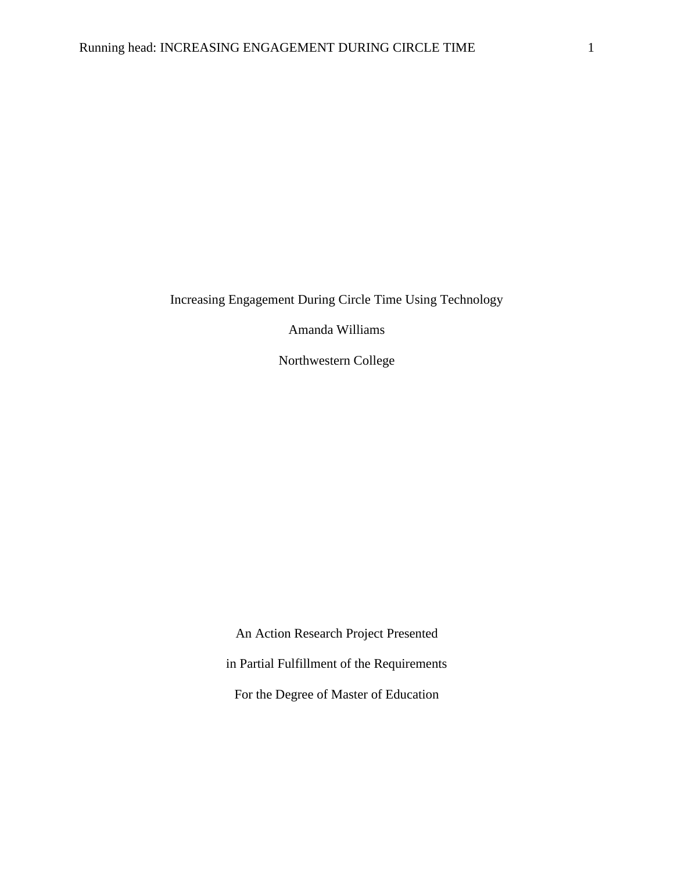Increasing Engagement During Circle Time Using Technology

Amanda Williams

Northwestern College

An Action Research Project Presented in Partial Fulfillment of the Requirements For the Degree of Master of Education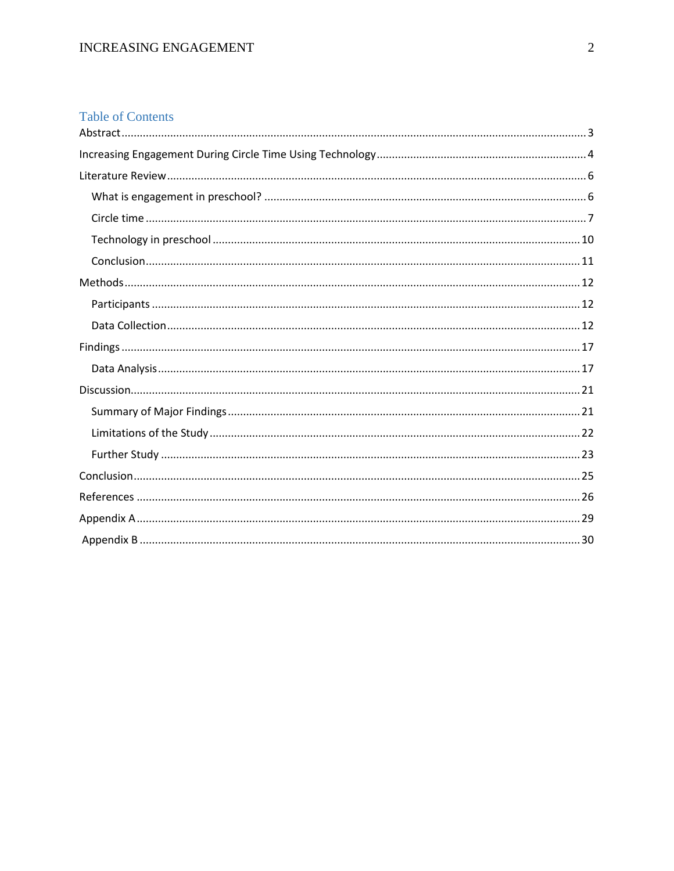### **Table of Contents**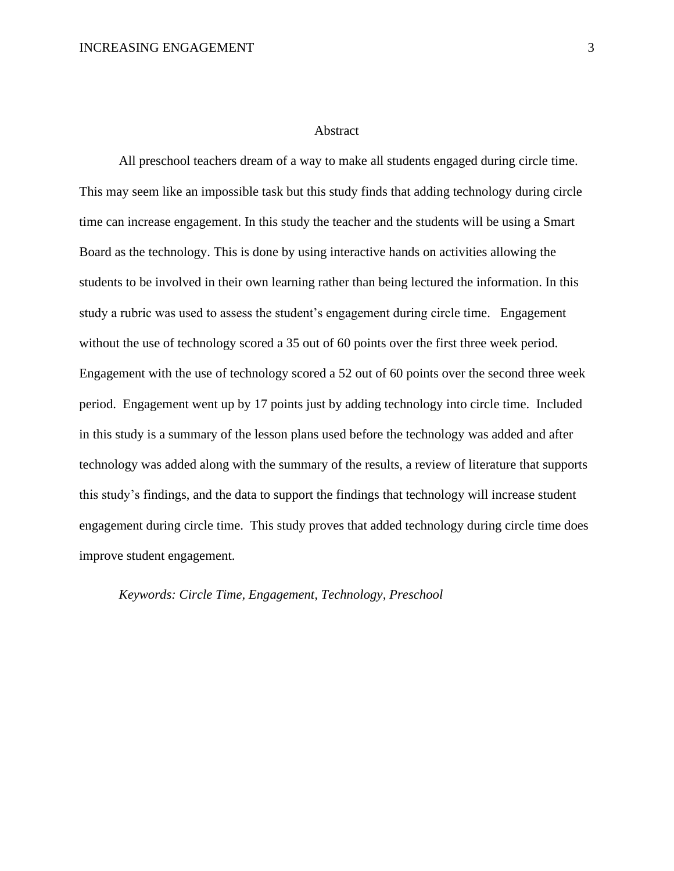#### Abstract

<span id="page-3-0"></span>All preschool teachers dream of a way to make all students engaged during circle time. This may seem like an impossible task but this study finds that adding technology during circle time can increase engagement. In this study the teacher and the students will be using a Smart Board as the technology. This is done by using interactive hands on activities allowing the students to be involved in their own learning rather than being lectured the information. In this study a rubric was used to assess the student's engagement during circle time. Engagement without the use of technology scored a 35 out of 60 points over the first three week period. Engagement with the use of technology scored a 52 out of 60 points over the second three week period. Engagement went up by 17 points just by adding technology into circle time. Included in this study is a summary of the lesson plans used before the technology was added and after technology was added along with the summary of the results, a review of literature that supports this study's findings, and the data to support the findings that technology will increase student engagement during circle time. This study proves that added technology during circle time does improve student engagement.

*Keywords: Circle Time, Engagement, Technology, Preschool*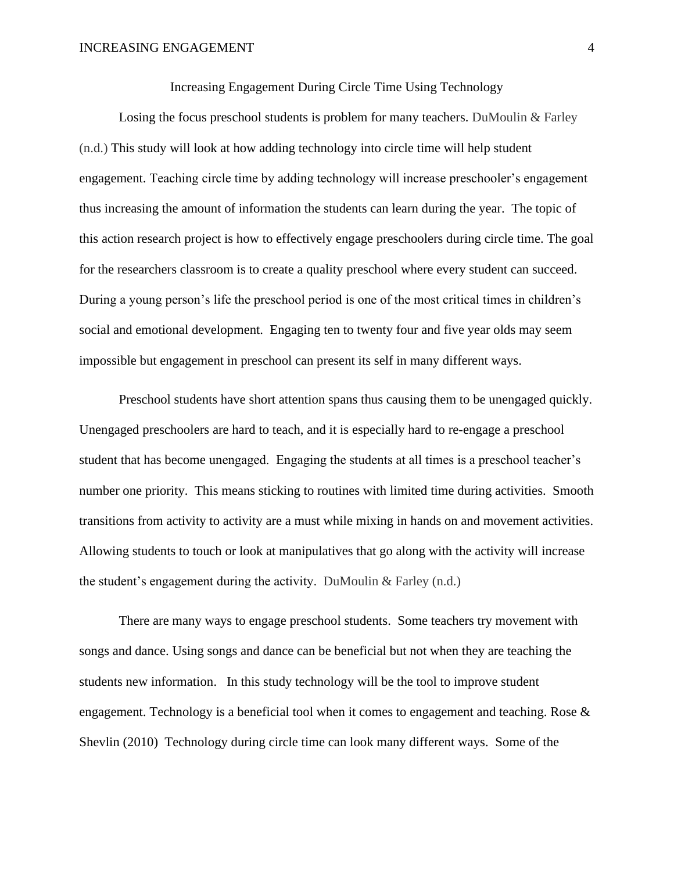Increasing Engagement During Circle Time Using Technology

<span id="page-4-0"></span>Losing the focus preschool students is problem for many teachers. DuMoulin & Farley (n.d.) This study will look at how adding technology into circle time will help student engagement. Teaching circle time by adding technology will increase preschooler's engagement thus increasing the amount of information the students can learn during the year. The topic of this action research project is how to effectively engage preschoolers during circle time. The goal for the researchers classroom is to create a quality preschool where every student can succeed. During a young person's life the preschool period is one of the most critical times in children's social and emotional development. Engaging ten to twenty four and five year olds may seem impossible but engagement in preschool can present its self in many different ways.

Preschool students have short attention spans thus causing them to be unengaged quickly. Unengaged preschoolers are hard to teach, and it is especially hard to re-engage a preschool student that has become unengaged. Engaging the students at all times is a preschool teacher's number one priority. This means sticking to routines with limited time during activities. Smooth transitions from activity to activity are a must while mixing in hands on and movement activities. Allowing students to touch or look at manipulatives that go along with the activity will increase the student's engagement during the activity. DuMoulin & Farley (n.d.)

There are many ways to engage preschool students. Some teachers try movement with songs and dance. Using songs and dance can be beneficial but not when they are teaching the students new information. In this study technology will be the tool to improve student engagement. Technology is a beneficial tool when it comes to engagement and teaching. Rose & Shevlin (2010) Technology during circle time can look many different ways. Some of the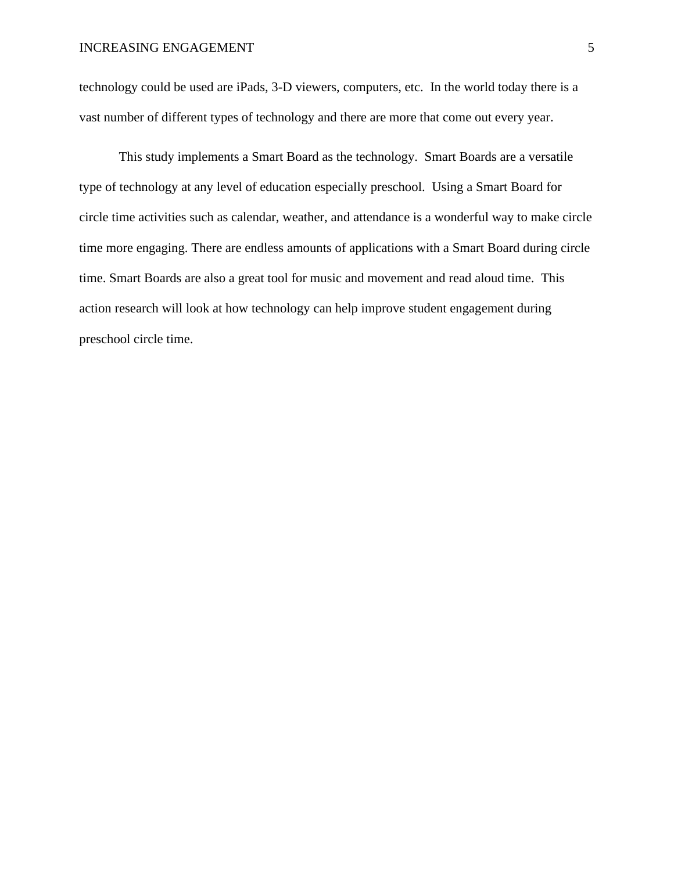technology could be used are iPads, 3-D viewers, computers, etc. In the world today there is a vast number of different types of technology and there are more that come out every year.

This study implements a Smart Board as the technology. Smart Boards are a versatile type of technology at any level of education especially preschool. Using a Smart Board for circle time activities such as calendar, weather, and attendance is a wonderful way to make circle time more engaging. There are endless amounts of applications with a Smart Board during circle time. Smart Boards are also a great tool for music and movement and read aloud time. This action research will look at how technology can help improve student engagement during preschool circle time.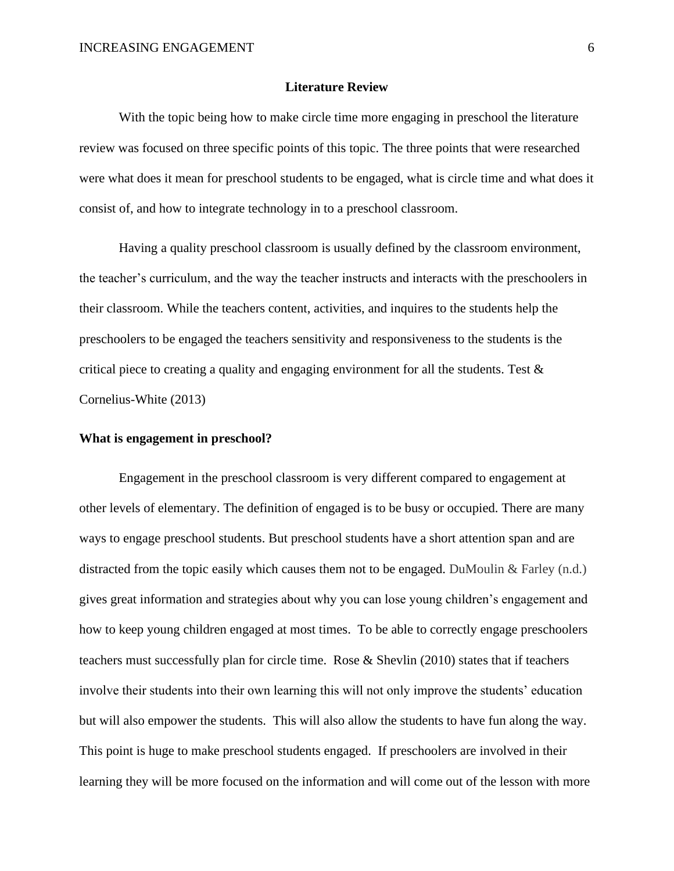#### **Literature Review**

<span id="page-6-0"></span>With the topic being how to make circle time more engaging in preschool the literature review was focused on three specific points of this topic. The three points that were researched were what does it mean for preschool students to be engaged, what is circle time and what does it consist of, and how to integrate technology in to a preschool classroom.

Having a quality preschool classroom is usually defined by the classroom environment, the teacher's curriculum, and the way the teacher instructs and interacts with the preschoolers in their classroom. While the teachers content, activities, and inquires to the students help the preschoolers to be engaged the teachers sensitivity and responsiveness to the students is the critical piece to creating a quality and engaging environment for all the students. Test  $\&$ Cornelius-White (2013)

#### <span id="page-6-1"></span>**What is engagement in preschool?**

Engagement in the preschool classroom is very different compared to engagement at other levels of elementary. The definition of engaged is to be busy or occupied. There are many ways to engage preschool students. But preschool students have a short attention span and are distracted from the topic easily which causes them not to be engaged. DuMoulin  $\&$  Farley (n.d.) gives great information and strategies about why you can lose young children's engagement and how to keep young children engaged at most times. To be able to correctly engage preschoolers teachers must successfully plan for circle time. Rose & Shevlin (2010) states that if teachers involve their students into their own learning this will not only improve the students' education but will also empower the students. This will also allow the students to have fun along the way. This point is huge to make preschool students engaged. If preschoolers are involved in their learning they will be more focused on the information and will come out of the lesson with more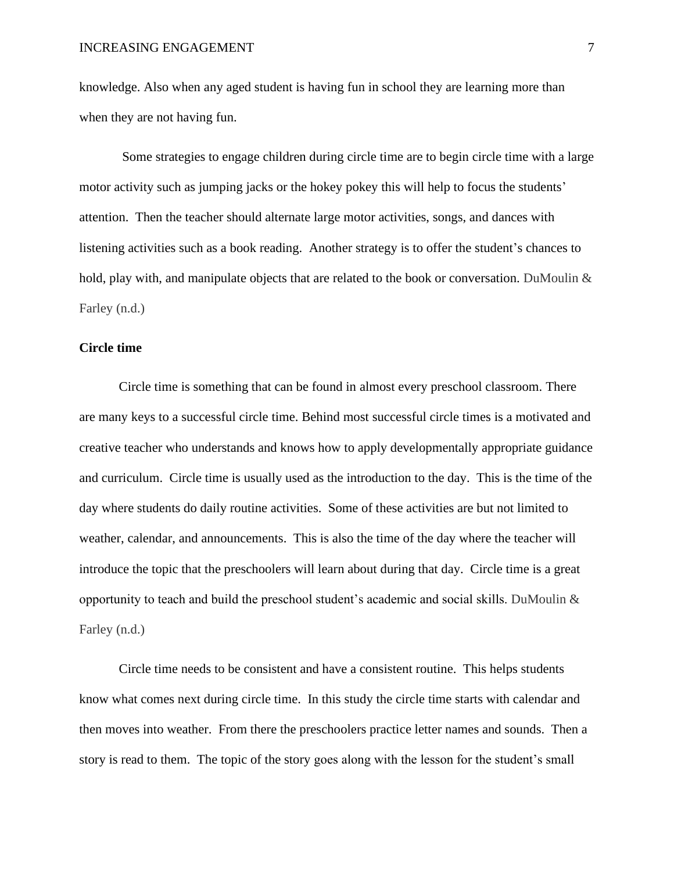knowledge. Also when any aged student is having fun in school they are learning more than when they are not having fun.

Some strategies to engage children during circle time are to begin circle time with a large motor activity such as jumping jacks or the hokey pokey this will help to focus the students' attention. Then the teacher should alternate large motor activities, songs, and dances with listening activities such as a book reading. Another strategy is to offer the student's chances to hold, play with, and manipulate objects that are related to the book or conversation. DuMoulin & Farley (n.d.)

#### <span id="page-7-0"></span>**Circle time**

Circle time is something that can be found in almost every preschool classroom. There are many keys to a successful circle time. Behind most successful circle times is a motivated and creative teacher who understands and knows how to apply developmentally appropriate guidance and curriculum. Circle time is usually used as the introduction to the day. This is the time of the day where students do daily routine activities. Some of these activities are but not limited to weather, calendar, and announcements. This is also the time of the day where the teacher will introduce the topic that the preschoolers will learn about during that day. Circle time is a great opportunity to teach and build the preschool student's academic and social skills. DuMoulin & Farley (n.d.)

Circle time needs to be consistent and have a consistent routine. This helps students know what comes next during circle time. In this study the circle time starts with calendar and then moves into weather. From there the preschoolers practice letter names and sounds. Then a story is read to them. The topic of the story goes along with the lesson for the student's small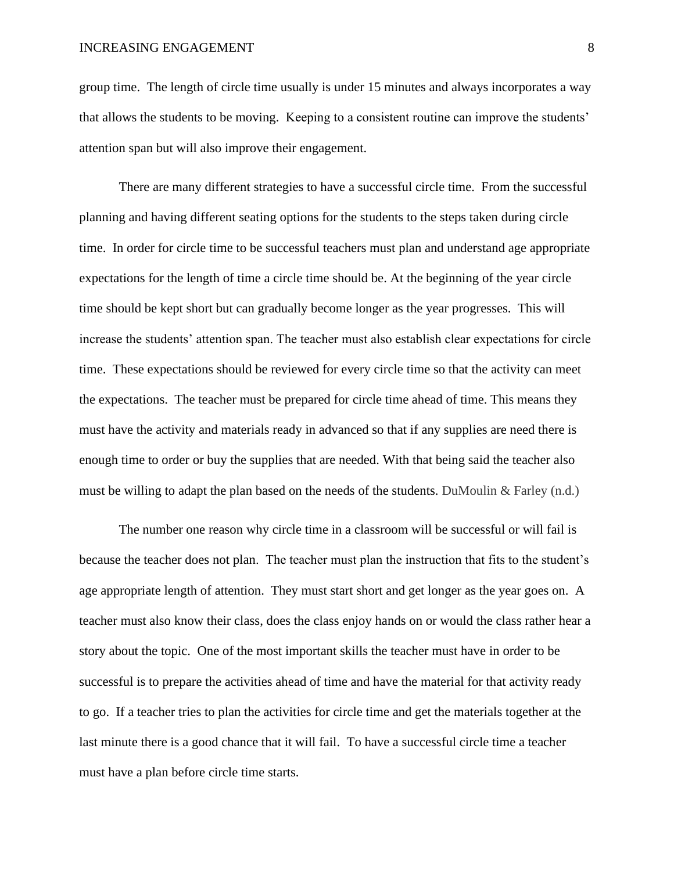group time. The length of circle time usually is under 15 minutes and always incorporates a way that allows the students to be moving. Keeping to a consistent routine can improve the students' attention span but will also improve their engagement.

There are many different strategies to have a successful circle time. From the successful planning and having different seating options for the students to the steps taken during circle time. In order for circle time to be successful teachers must plan and understand age appropriate expectations for the length of time a circle time should be. At the beginning of the year circle time should be kept short but can gradually become longer as the year progresses. This will increase the students' attention span. The teacher must also establish clear expectations for circle time. These expectations should be reviewed for every circle time so that the activity can meet the expectations. The teacher must be prepared for circle time ahead of time. This means they must have the activity and materials ready in advanced so that if any supplies are need there is enough time to order or buy the supplies that are needed. With that being said the teacher also must be willing to adapt the plan based on the needs of the students. DuMoulin  $\&$  Farley (n.d.)

The number one reason why circle time in a classroom will be successful or will fail is because the teacher does not plan. The teacher must plan the instruction that fits to the student's age appropriate length of attention. They must start short and get longer as the year goes on. A teacher must also know their class, does the class enjoy hands on or would the class rather hear a story about the topic. One of the most important skills the teacher must have in order to be successful is to prepare the activities ahead of time and have the material for that activity ready to go. If a teacher tries to plan the activities for circle time and get the materials together at the last minute there is a good chance that it will fail. To have a successful circle time a teacher must have a plan before circle time starts.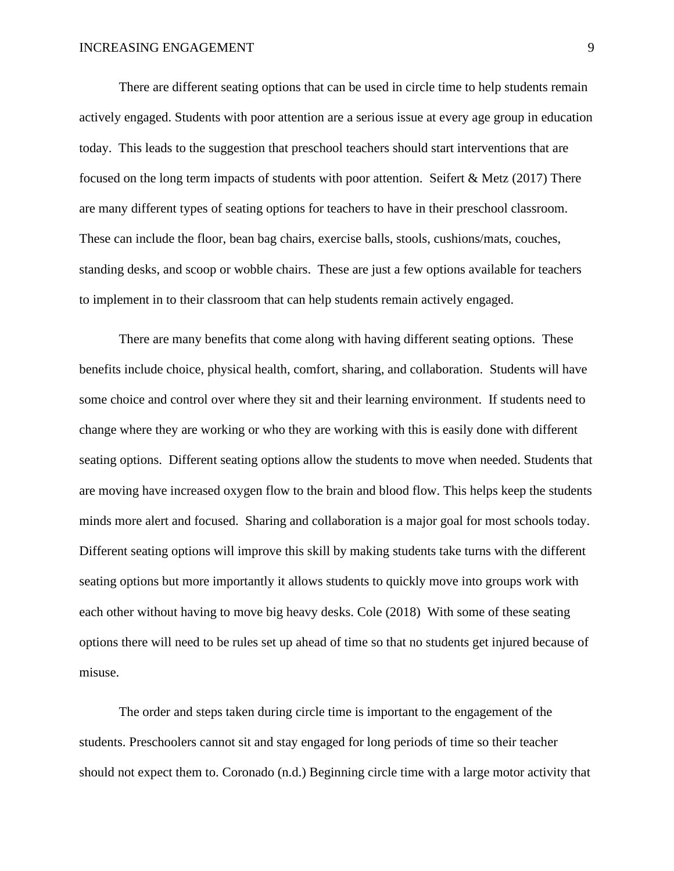There are different seating options that can be used in circle time to help students remain actively engaged. Students with poor attention are a serious issue at every age group in education today. This leads to the suggestion that preschool teachers should start interventions that are focused on the long term impacts of students with poor attention. Seifert & Metz (2017) There are many different types of seating options for teachers to have in their preschool classroom. These can include the floor, bean bag chairs, exercise balls, stools, cushions/mats, couches, standing desks, and scoop or wobble chairs. These are just a few options available for teachers to implement in to their classroom that can help students remain actively engaged.

There are many benefits that come along with having different seating options. These benefits include choice, physical health, comfort, sharing, and collaboration. Students will have some choice and control over where they sit and their learning environment. If students need to change where they are working or who they are working with this is easily done with different seating options. Different seating options allow the students to move when needed. Students that are moving have increased oxygen flow to the brain and blood flow. This helps keep the students minds more alert and focused. Sharing and collaboration is a major goal for most schools today. Different seating options will improve this skill by making students take turns with the different seating options but more importantly it allows students to quickly move into groups work with each other without having to move big heavy desks. Cole (2018) With some of these seating options there will need to be rules set up ahead of time so that no students get injured because of misuse.

The order and steps taken during circle time is important to the engagement of the students. Preschoolers cannot sit and stay engaged for long periods of time so their teacher should not expect them to. Coronado (n.d.) Beginning circle time with a large motor activity that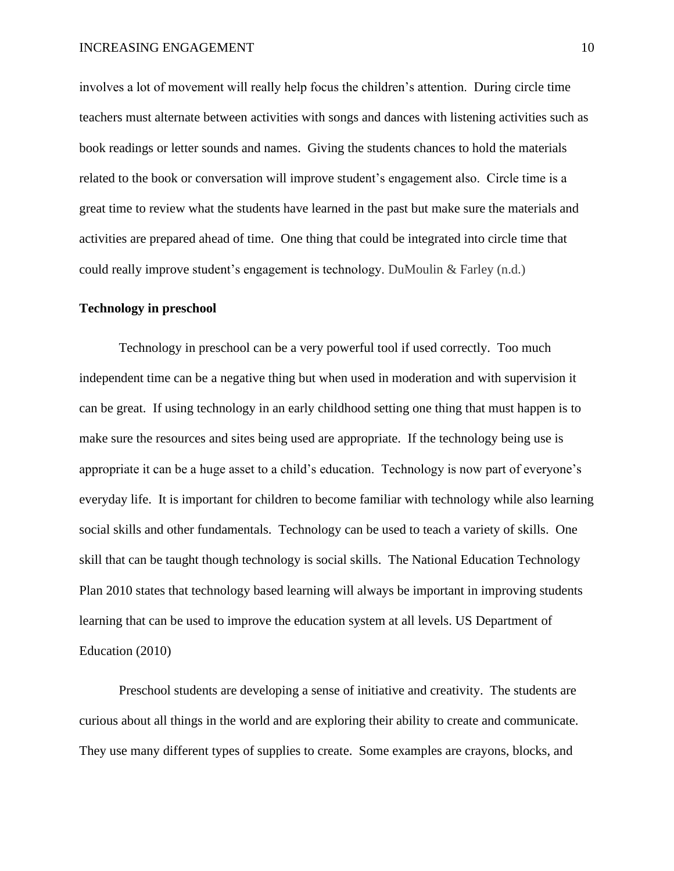involves a lot of movement will really help focus the children's attention. During circle time teachers must alternate between activities with songs and dances with listening activities such as book readings or letter sounds and names. Giving the students chances to hold the materials related to the book or conversation will improve student's engagement also. Circle time is a great time to review what the students have learned in the past but make sure the materials and activities are prepared ahead of time. One thing that could be integrated into circle time that could really improve student's engagement is technology. DuMoulin & Farley (n.d.)

#### <span id="page-10-0"></span>**Technology in preschool**

Technology in preschool can be a very powerful tool if used correctly. Too much independent time can be a negative thing but when used in moderation and with supervision it can be great. If using technology in an early childhood setting one thing that must happen is to make sure the resources and sites being used are appropriate. If the technology being use is appropriate it can be a huge asset to a child's education. Technology is now part of everyone's everyday life. It is important for children to become familiar with technology while also learning social skills and other fundamentals. Technology can be used to teach a variety of skills. One skill that can be taught though technology is social skills. The National Education Technology Plan 2010 states that technology based learning will always be important in improving students learning that can be used to improve the education system at all levels. US Department of Education (2010)

Preschool students are developing a sense of initiative and creativity. The students are curious about all things in the world and are exploring their ability to create and communicate. They use many different types of supplies to create. Some examples are crayons, blocks, and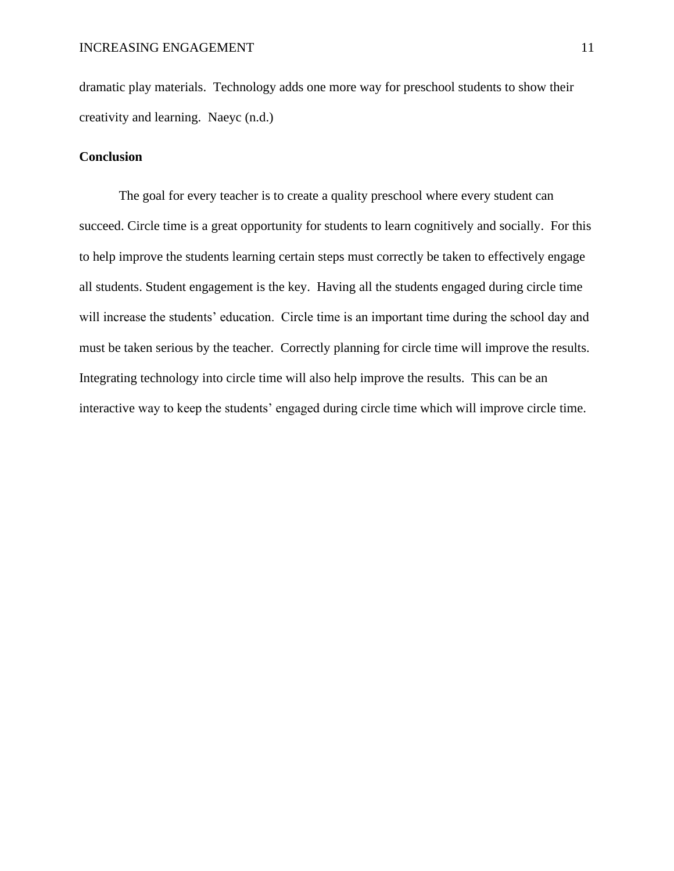dramatic play materials. Technology adds one more way for preschool students to show their creativity and learning. Naeyc (n.d.)

#### <span id="page-11-0"></span>**Conclusion**

The goal for every teacher is to create a quality preschool where every student can succeed. Circle time is a great opportunity for students to learn cognitively and socially. For this to help improve the students learning certain steps must correctly be taken to effectively engage all students. Student engagement is the key. Having all the students engaged during circle time will increase the students' education. Circle time is an important time during the school day and must be taken serious by the teacher. Correctly planning for circle time will improve the results. Integrating technology into circle time will also help improve the results. This can be an interactive way to keep the students' engaged during circle time which will improve circle time.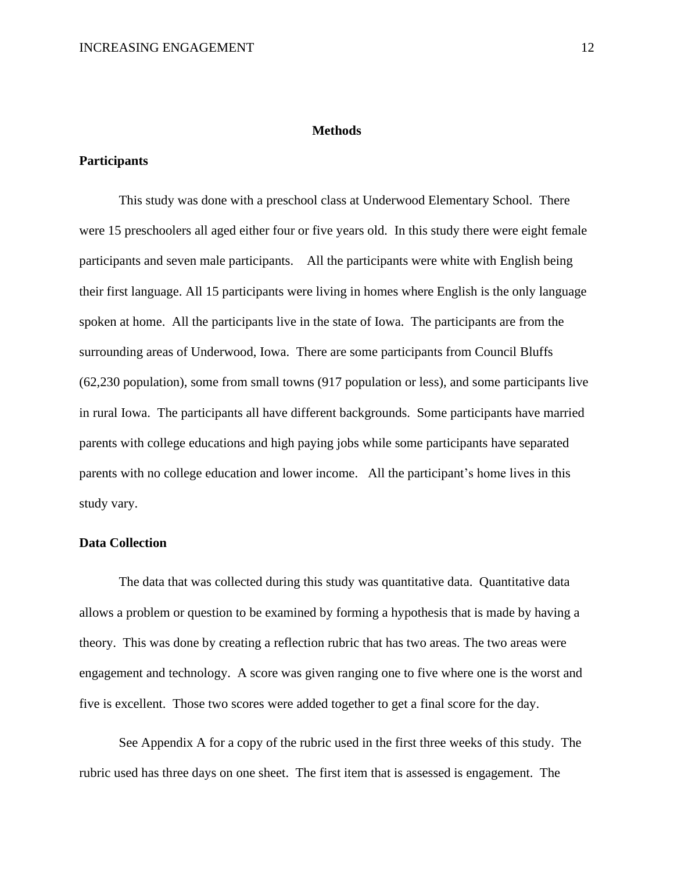#### **Methods**

#### <span id="page-12-1"></span><span id="page-12-0"></span>**Participants**

This study was done with a preschool class at Underwood Elementary School. There were 15 preschoolers all aged either four or five years old. In this study there were eight female participants and seven male participants. All the participants were white with English being their first language. All 15 participants were living in homes where English is the only language spoken at home. All the participants live in the state of Iowa. The participants are from the surrounding areas of Underwood, Iowa. There are some participants from Council Bluffs (62,230 population), some from small towns (917 population or less), and some participants live in rural Iowa. The participants all have different backgrounds. Some participants have married parents with college educations and high paying jobs while some participants have separated parents with no college education and lower income. All the participant's home lives in this study vary.

#### <span id="page-12-2"></span>**Data Collection**

The data that was collected during this study was quantitative data. Quantitative data allows a problem or question to be examined by forming a hypothesis that is made by having a theory. This was done by creating a reflection rubric that has two areas. The two areas were engagement and technology. A score was given ranging one to five where one is the worst and five is excellent. Those two scores were added together to get a final score for the day.

See Appendix A for a copy of the rubric used in the first three weeks of this study. The rubric used has three days on one sheet. The first item that is assessed is engagement. The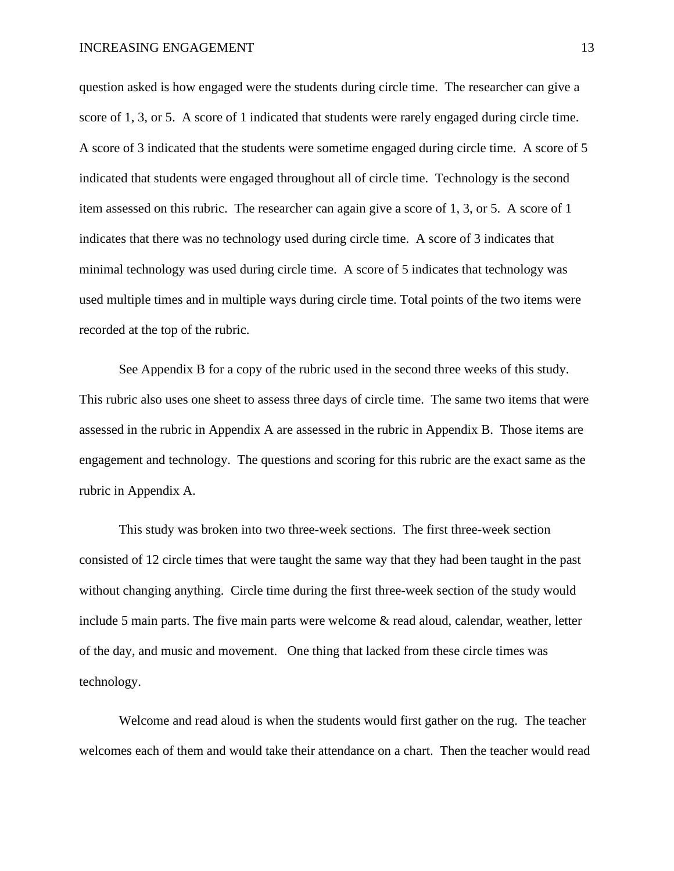question asked is how engaged were the students during circle time. The researcher can give a score of 1, 3, or 5. A score of 1 indicated that students were rarely engaged during circle time. A score of 3 indicated that the students were sometime engaged during circle time. A score of 5 indicated that students were engaged throughout all of circle time. Technology is the second item assessed on this rubric. The researcher can again give a score of 1, 3, or 5. A score of 1 indicates that there was no technology used during circle time. A score of 3 indicates that minimal technology was used during circle time. A score of 5 indicates that technology was used multiple times and in multiple ways during circle time. Total points of the two items were recorded at the top of the rubric.

See Appendix B for a copy of the rubric used in the second three weeks of this study. This rubric also uses one sheet to assess three days of circle time. The same two items that were assessed in the rubric in Appendix A are assessed in the rubric in Appendix B. Those items are engagement and technology. The questions and scoring for this rubric are the exact same as the rubric in Appendix A.

This study was broken into two three-week sections. The first three-week section consisted of 12 circle times that were taught the same way that they had been taught in the past without changing anything. Circle time during the first three-week section of the study would include 5 main parts. The five main parts were welcome & read aloud, calendar, weather, letter of the day, and music and movement. One thing that lacked from these circle times was technology.

Welcome and read aloud is when the students would first gather on the rug. The teacher welcomes each of them and would take their attendance on a chart. Then the teacher would read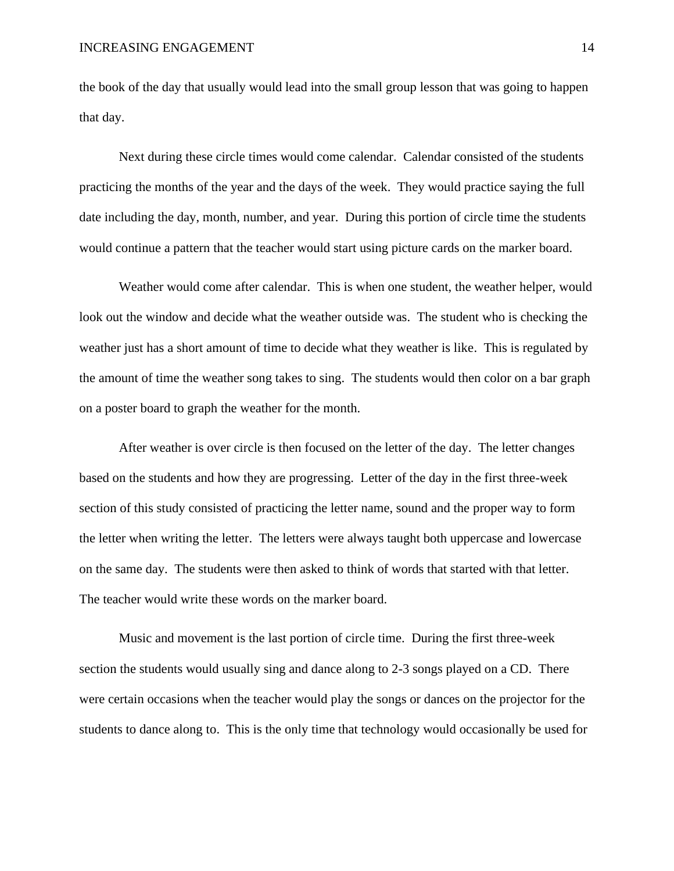the book of the day that usually would lead into the small group lesson that was going to happen that day.

Next during these circle times would come calendar. Calendar consisted of the students practicing the months of the year and the days of the week. They would practice saying the full date including the day, month, number, and year. During this portion of circle time the students would continue a pattern that the teacher would start using picture cards on the marker board.

Weather would come after calendar. This is when one student, the weather helper, would look out the window and decide what the weather outside was. The student who is checking the weather just has a short amount of time to decide what they weather is like. This is regulated by the amount of time the weather song takes to sing. The students would then color on a bar graph on a poster board to graph the weather for the month.

After weather is over circle is then focused on the letter of the day. The letter changes based on the students and how they are progressing. Letter of the day in the first three-week section of this study consisted of practicing the letter name, sound and the proper way to form the letter when writing the letter. The letters were always taught both uppercase and lowercase on the same day. The students were then asked to think of words that started with that letter. The teacher would write these words on the marker board.

Music and movement is the last portion of circle time. During the first three-week section the students would usually sing and dance along to 2-3 songs played on a CD. There were certain occasions when the teacher would play the songs or dances on the projector for the students to dance along to. This is the only time that technology would occasionally be used for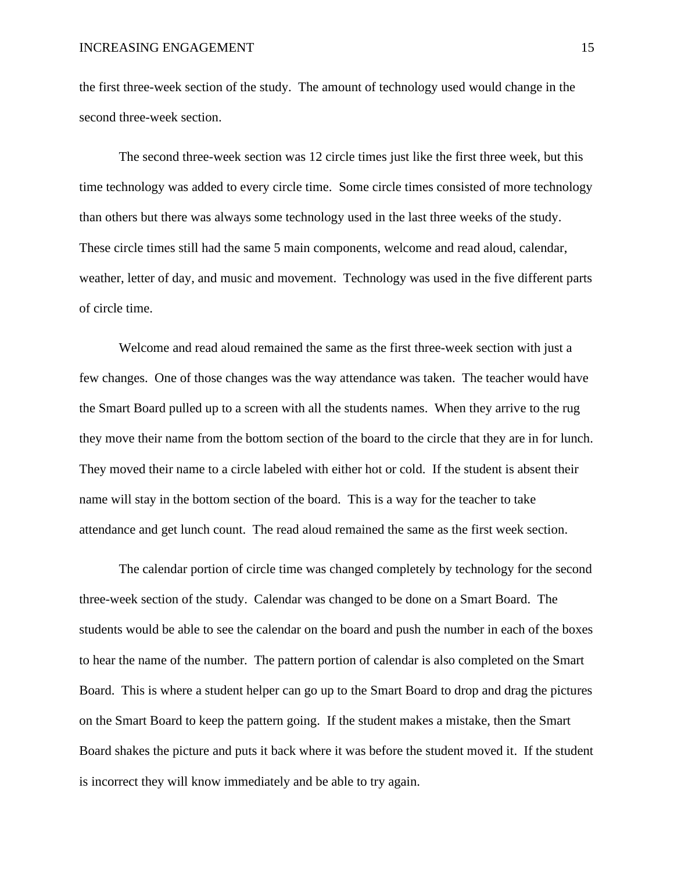the first three-week section of the study. The amount of technology used would change in the second three-week section.

The second three-week section was 12 circle times just like the first three week, but this time technology was added to every circle time. Some circle times consisted of more technology than others but there was always some technology used in the last three weeks of the study. These circle times still had the same 5 main components, welcome and read aloud, calendar, weather, letter of day, and music and movement. Technology was used in the five different parts of circle time.

Welcome and read aloud remained the same as the first three-week section with just a few changes. One of those changes was the way attendance was taken. The teacher would have the Smart Board pulled up to a screen with all the students names. When they arrive to the rug they move their name from the bottom section of the board to the circle that they are in for lunch. They moved their name to a circle labeled with either hot or cold. If the student is absent their name will stay in the bottom section of the board. This is a way for the teacher to take attendance and get lunch count. The read aloud remained the same as the first week section.

The calendar portion of circle time was changed completely by technology for the second three-week section of the study. Calendar was changed to be done on a Smart Board. The students would be able to see the calendar on the board and push the number in each of the boxes to hear the name of the number. The pattern portion of calendar is also completed on the Smart Board. This is where a student helper can go up to the Smart Board to drop and drag the pictures on the Smart Board to keep the pattern going. If the student makes a mistake, then the Smart Board shakes the picture and puts it back where it was before the student moved it. If the student is incorrect they will know immediately and be able to try again.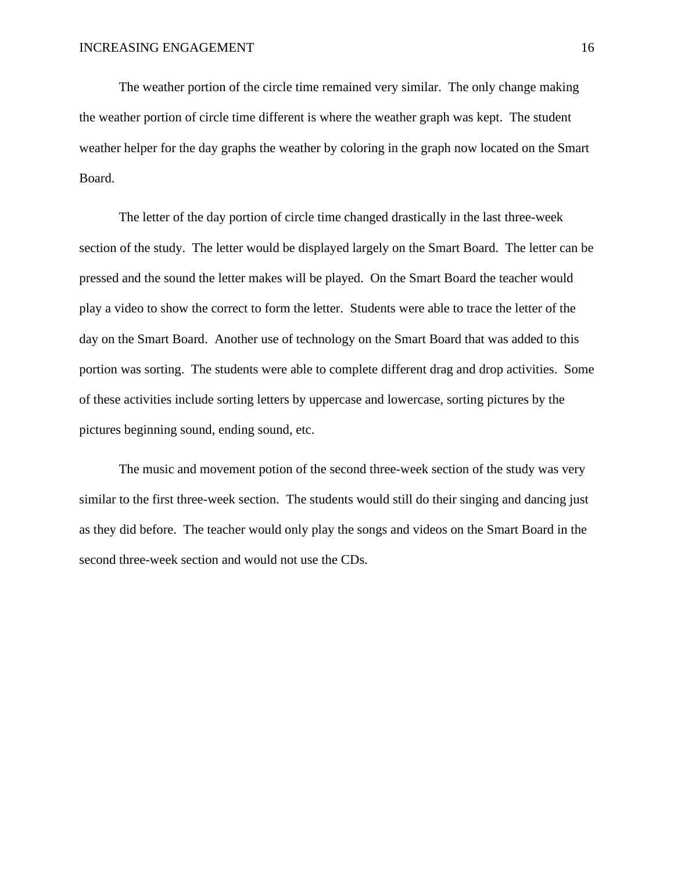The weather portion of the circle time remained very similar. The only change making the weather portion of circle time different is where the weather graph was kept. The student weather helper for the day graphs the weather by coloring in the graph now located on the Smart Board.

The letter of the day portion of circle time changed drastically in the last three-week section of the study. The letter would be displayed largely on the Smart Board. The letter can be pressed and the sound the letter makes will be played. On the Smart Board the teacher would play a video to show the correct to form the letter. Students were able to trace the letter of the day on the Smart Board. Another use of technology on the Smart Board that was added to this portion was sorting. The students were able to complete different drag and drop activities. Some of these activities include sorting letters by uppercase and lowercase, sorting pictures by the pictures beginning sound, ending sound, etc.

The music and movement potion of the second three-week section of the study was very similar to the first three-week section. The students would still do their singing and dancing just as they did before. The teacher would only play the songs and videos on the Smart Board in the second three-week section and would not use the CDs.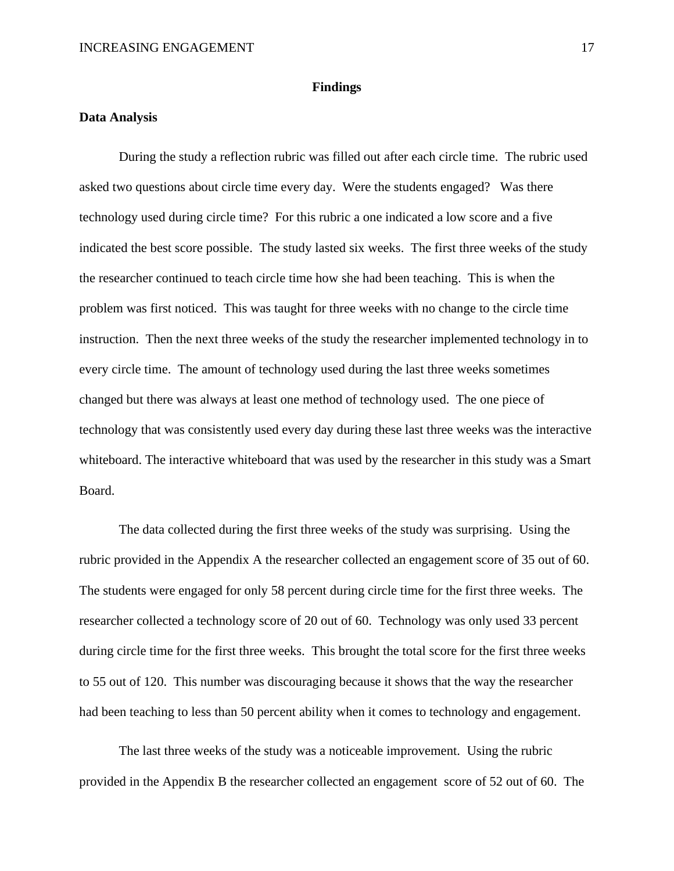#### **Findings**

#### <span id="page-17-1"></span><span id="page-17-0"></span>**Data Analysis**

During the study a reflection rubric was filled out after each circle time. The rubric used asked two questions about circle time every day. Were the students engaged? Was there technology used during circle time? For this rubric a one indicated a low score and a five indicated the best score possible. The study lasted six weeks. The first three weeks of the study the researcher continued to teach circle time how she had been teaching. This is when the problem was first noticed. This was taught for three weeks with no change to the circle time instruction. Then the next three weeks of the study the researcher implemented technology in to every circle time. The amount of technology used during the last three weeks sometimes changed but there was always at least one method of technology used. The one piece of technology that was consistently used every day during these last three weeks was the interactive whiteboard. The interactive whiteboard that was used by the researcher in this study was a Smart Board.

The data collected during the first three weeks of the study was surprising. Using the rubric provided in the Appendix A the researcher collected an engagement score of 35 out of 60. The students were engaged for only 58 percent during circle time for the first three weeks. The researcher collected a technology score of 20 out of 60. Technology was only used 33 percent during circle time for the first three weeks. This brought the total score for the first three weeks to 55 out of 120. This number was discouraging because it shows that the way the researcher had been teaching to less than 50 percent ability when it comes to technology and engagement.

The last three weeks of the study was a noticeable improvement. Using the rubric provided in the Appendix B the researcher collected an engagement score of 52 out of 60. The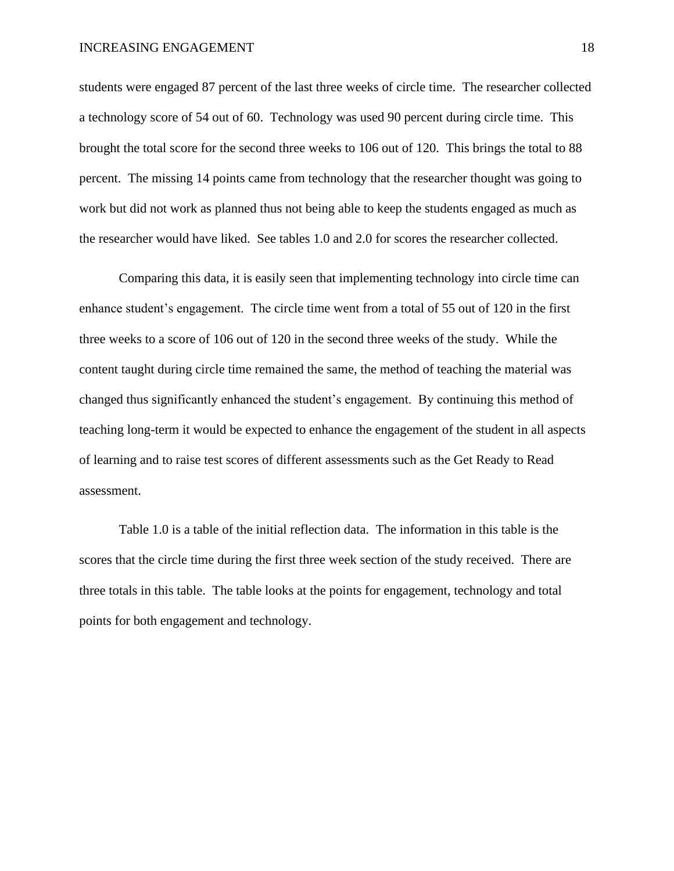#### INCREASING ENGAGEMENT 18

students were engaged 87 percent of the last three weeks of circle time. The researcher collected a technology score of 54 out of 60. Technology was used 90 percent during circle time. This brought the total score for the second three weeks to 106 out of 120. This brings the total to 88 percent. The missing 14 points came from technology that the researcher thought was going to work but did not work as planned thus not being able to keep the students engaged as much as the researcher would have liked. See tables 1.0 and 2.0 for scores the researcher collected.

Comparing this data, it is easily seen that implementing technology into circle time can enhance student's engagement. The circle time went from a total of 55 out of 120 in the first three weeks to a score of 106 out of 120 in the second three weeks of the study. While the content taught during circle time remained the same, the method of teaching the material was changed thus significantly enhanced the student's engagement. By continuing this method of teaching long-term it would be expected to enhance the engagement of the student in all aspects of learning and to raise test scores of different assessments such as the Get Ready to Read assessment.

Table 1.0 is a table of the initial reflection data. The information in this table is the scores that the circle time during the first three week section of the study received. There are three totals in this table. The table looks at the points for engagement, technology and total points for both engagement and technology.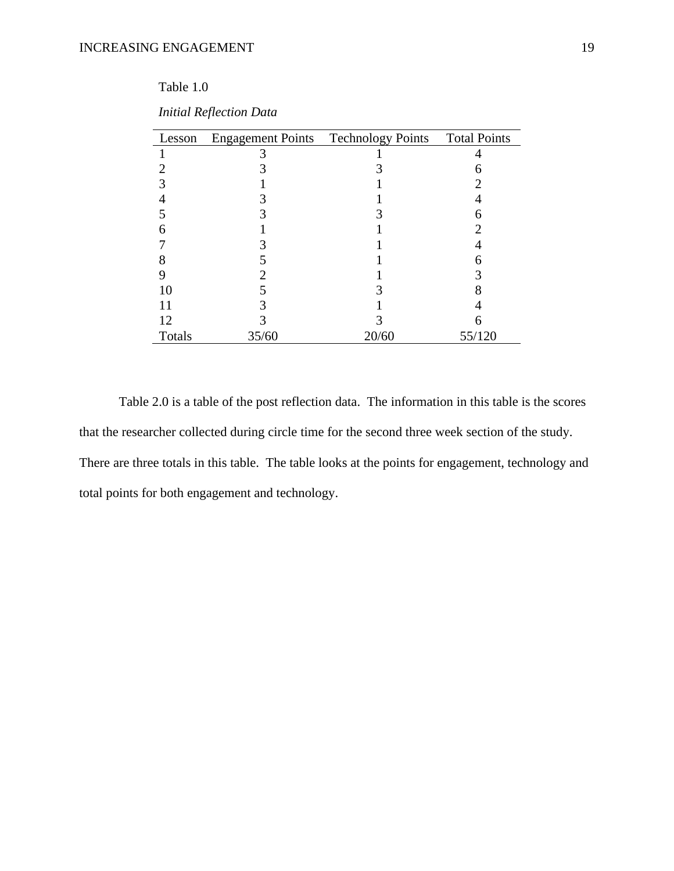### Table 1.0

| Lesson |       | Engagement Points Technology Points Total Points |        |
|--------|-------|--------------------------------------------------|--------|
|        |       |                                                  |        |
|        |       |                                                  |        |
|        |       |                                                  |        |
|        |       |                                                  |        |
|        |       |                                                  |        |
| 6      |       |                                                  |        |
|        |       |                                                  |        |
| 8      |       |                                                  |        |
| 9      |       |                                                  |        |
| 10     |       |                                                  |        |
|        |       |                                                  |        |
| 12     |       |                                                  |        |
| Totals | 35/60 | 20/60                                            | 55/120 |

| <b>Initial Reflection Data</b> |  |
|--------------------------------|--|
|                                |  |

Table 2.0 is a table of the post reflection data. The information in this table is the scores that the researcher collected during circle time for the second three week section of the study. There are three totals in this table. The table looks at the points for engagement, technology and total points for both engagement and technology.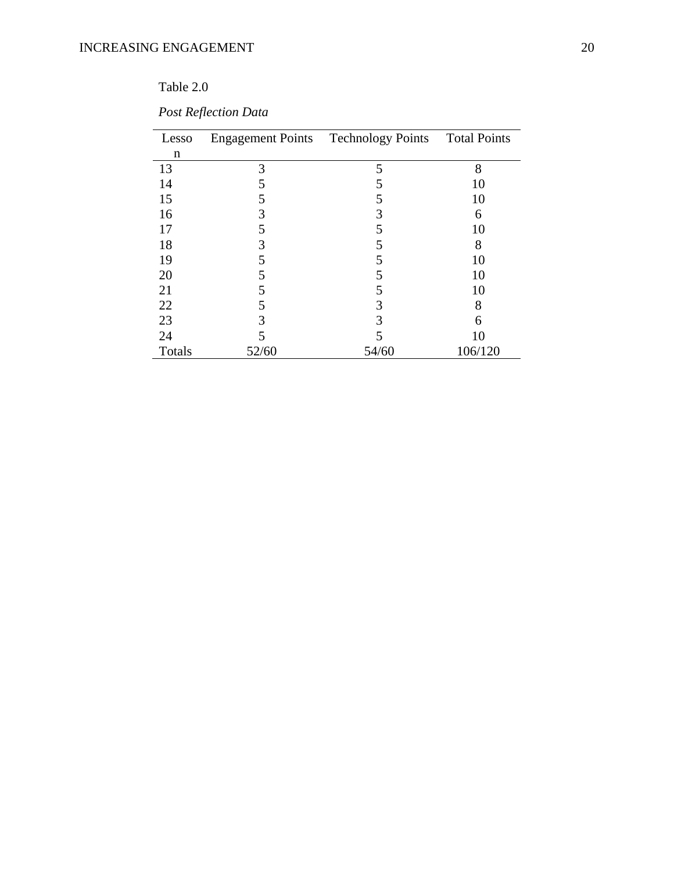## Table 2.0

| Lesso  |       | Engagement Points Technology Points Total Points |         |
|--------|-------|--------------------------------------------------|---------|
| n      |       |                                                  |         |
| 13     | 3     | 5                                                | 8       |
| 14     | 5     | 5                                                | 10      |
| 15     | 5     | 5                                                | 10      |
| 16     | 3     | 3                                                | 6       |
|        | 5     | 5                                                | 10      |
| 18     | 3     | 5                                                | 8       |
| 19     | 5     | 5                                                | 10      |
| 20     | 5     | 5                                                | 10      |
| 21     | 5     | 5                                                | 10      |
| 22     | 5     | 3                                                | 8       |
| 23     | 3     | 3                                                | 6       |
| 24     | 5     |                                                  | 10      |
| Totals | 52/60 | 54/60                                            | 106/120 |

*Post Reflection Data*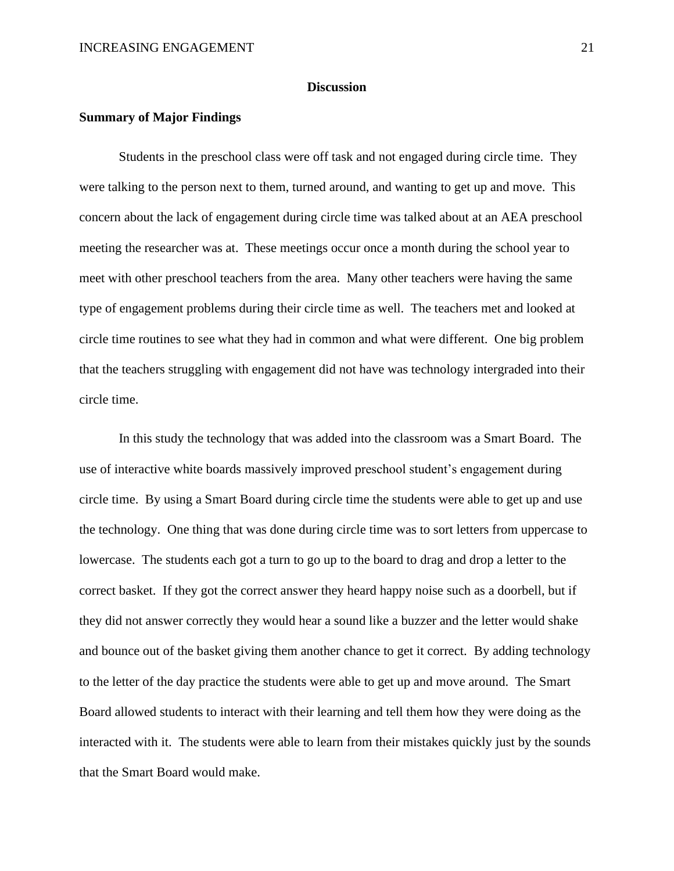#### **Discussion**

#### <span id="page-21-1"></span><span id="page-21-0"></span>**Summary of Major Findings**

Students in the preschool class were off task and not engaged during circle time. They were talking to the person next to them, turned around, and wanting to get up and move. This concern about the lack of engagement during circle time was talked about at an AEA preschool meeting the researcher was at. These meetings occur once a month during the school year to meet with other preschool teachers from the area. Many other teachers were having the same type of engagement problems during their circle time as well. The teachers met and looked at circle time routines to see what they had in common and what were different. One big problem that the teachers struggling with engagement did not have was technology intergraded into their circle time.

In this study the technology that was added into the classroom was a Smart Board. The use of interactive white boards massively improved preschool student's engagement during circle time. By using a Smart Board during circle time the students were able to get up and use the technology. One thing that was done during circle time was to sort letters from uppercase to lowercase. The students each got a turn to go up to the board to drag and drop a letter to the correct basket. If they got the correct answer they heard happy noise such as a doorbell, but if they did not answer correctly they would hear a sound like a buzzer and the letter would shake and bounce out of the basket giving them another chance to get it correct. By adding technology to the letter of the day practice the students were able to get up and move around. The Smart Board allowed students to interact with their learning and tell them how they were doing as the interacted with it. The students were able to learn from their mistakes quickly just by the sounds that the Smart Board would make.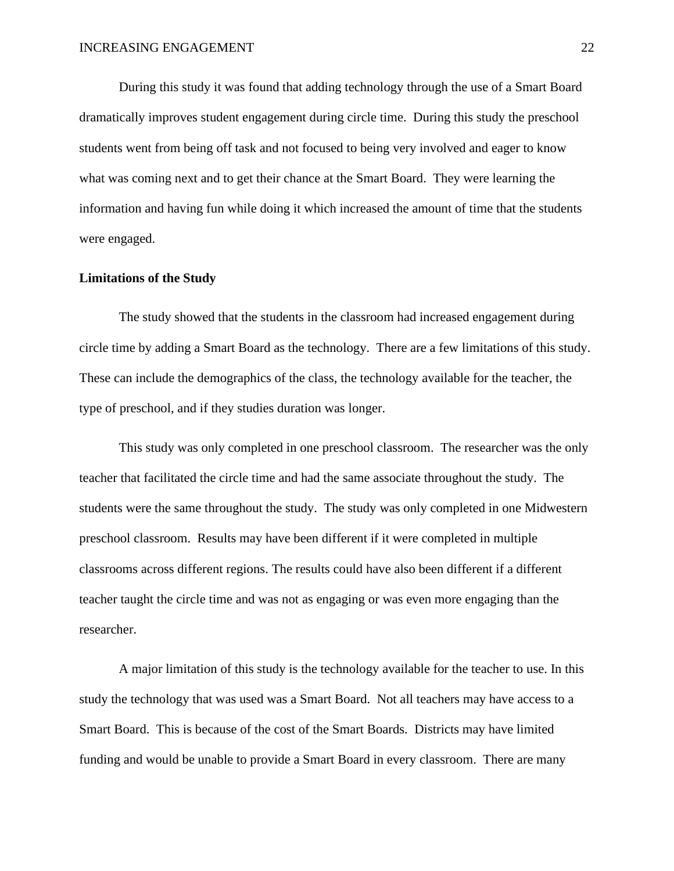During this study it was found that adding technology through the use of a Smart Board dramatically improves student engagement during circle time. During this study the preschool students went from being off task and not focused to being very involved and eager to know what was coming next and to get their chance at the Smart Board. They were learning the information and having fun while doing it which increased the amount of time that the students were engaged.

#### <span id="page-22-0"></span>**Limitations of the Study**

The study showed that the students in the classroom had increased engagement during circle time by adding a Smart Board as the technology. There are a few limitations of this study. These can include the demographics of the class, the technology available for the teacher, the type of preschool, and if they studies duration was longer.

This study was only completed in one preschool classroom. The researcher was the only teacher that facilitated the circle time and had the same associate throughout the study. The students were the same throughout the study. The study was only completed in one Midwestern preschool classroom. Results may have been different if it were completed in multiple classrooms across different regions. The results could have also been different if a different teacher taught the circle time and was not as engaging or was even more engaging than the researcher.

A major limitation of this study is the technology available for the teacher to use. In this study the technology that was used was a Smart Board. Not all teachers may have access to a Smart Board. This is because of the cost of the Smart Boards. Districts may have limited funding and would be unable to provide a Smart Board in every classroom. There are many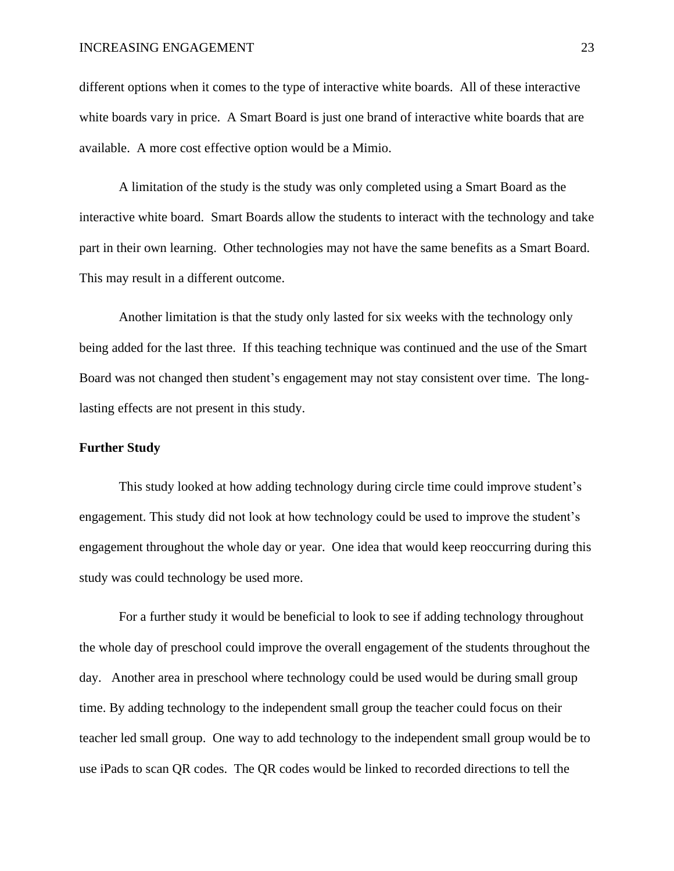different options when it comes to the type of interactive white boards. All of these interactive white boards vary in price. A Smart Board is just one brand of interactive white boards that are available. A more cost effective option would be a Mimio.

A limitation of the study is the study was only completed using a Smart Board as the interactive white board. Smart Boards allow the students to interact with the technology and take part in their own learning. Other technologies may not have the same benefits as a Smart Board. This may result in a different outcome.

Another limitation is that the study only lasted for six weeks with the technology only being added for the last three. If this teaching technique was continued and the use of the Smart Board was not changed then student's engagement may not stay consistent over time. The longlasting effects are not present in this study.

#### <span id="page-23-0"></span>**Further Study**

This study looked at how adding technology during circle time could improve student's engagement. This study did not look at how technology could be used to improve the student's engagement throughout the whole day or year. One idea that would keep reoccurring during this study was could technology be used more.

For a further study it would be beneficial to look to see if adding technology throughout the whole day of preschool could improve the overall engagement of the students throughout the day. Another area in preschool where technology could be used would be during small group time. By adding technology to the independent small group the teacher could focus on their teacher led small group. One way to add technology to the independent small group would be to use iPads to scan QR codes. The QR codes would be linked to recorded directions to tell the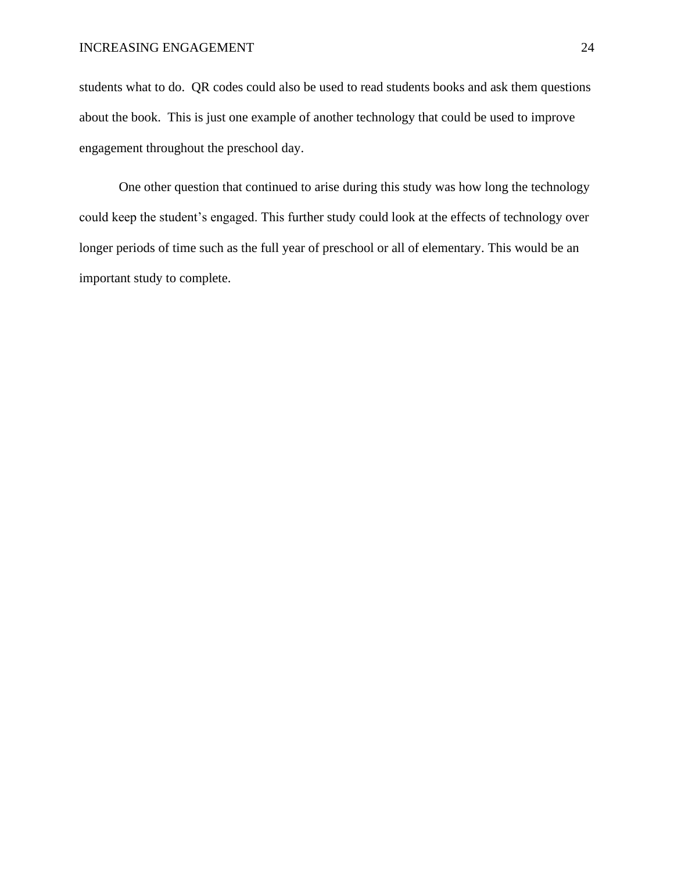students what to do. QR codes could also be used to read students books and ask them questions about the book. This is just one example of another technology that could be used to improve engagement throughout the preschool day.

One other question that continued to arise during this study was how long the technology could keep the student's engaged. This further study could look at the effects of technology over longer periods of time such as the full year of preschool or all of elementary. This would be an important study to complete.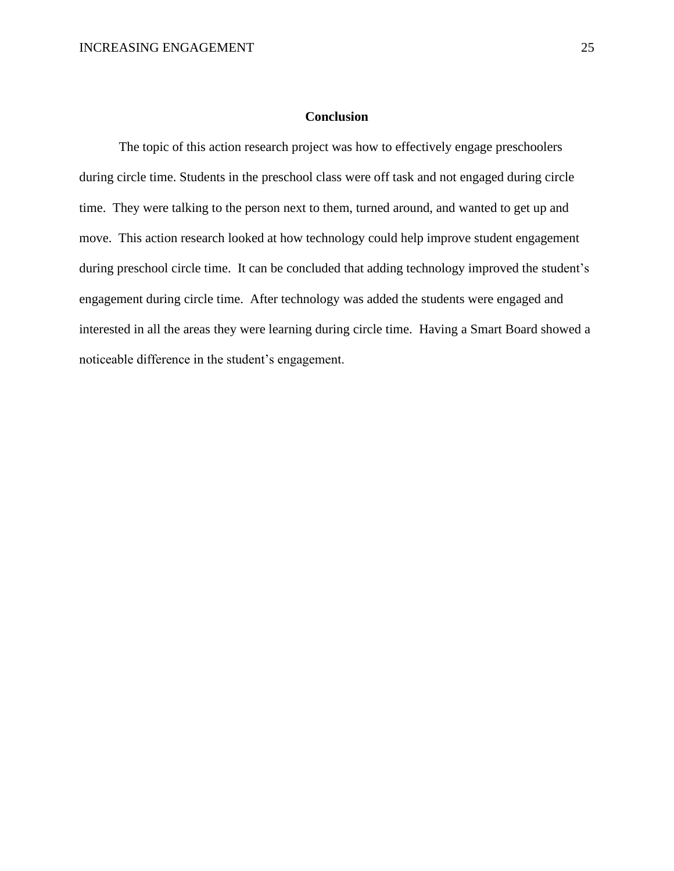#### **Conclusion**

<span id="page-25-0"></span>The topic of this action research project was how to effectively engage preschoolers during circle time. Students in the preschool class were off task and not engaged during circle time. They were talking to the person next to them, turned around, and wanted to get up and move. This action research looked at how technology could help improve student engagement during preschool circle time. It can be concluded that adding technology improved the student's engagement during circle time. After technology was added the students were engaged and interested in all the areas they were learning during circle time. Having a Smart Board showed a noticeable difference in the student's engagement.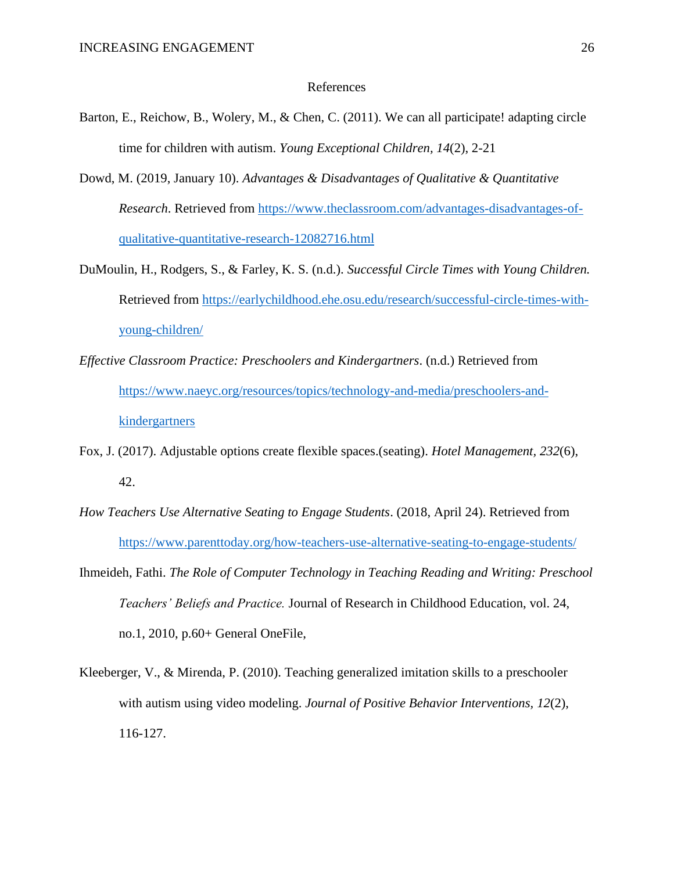#### References

- <span id="page-26-0"></span>Barton, E., Reichow, B., Wolery, M., & Chen, C. (2011). We can all participate! adapting circle time for children with autism. *Young Exceptional Children, 14*(2), 2-21
- Dowd, M. (2019, January 10). *Advantages & Disadvantages of Qualitative & Quantitative Research*. Retrieved from [https://www.theclassroom.com/advantages-disadvantages-of](https://www.theclassroom.com/advantages-disadvantages-of-qualitative-quantitative-research-12082716.html)[qualitative-quantitative-research-12082716.html](https://www.theclassroom.com/advantages-disadvantages-of-qualitative-quantitative-research-12082716.html)
- DuMoulin, H., Rodgers, S., & Farley, K. S. (n.d.). *Successful Circle Times with Young Children.* Retrieved from [https://earlychildhood.ehe.osu.edu/research/successful-circle-times-with](https://earlychildhood.ehe.osu.edu/research/successful-circle-times-with-young-children/)[young-children/](https://earlychildhood.ehe.osu.edu/research/successful-circle-times-with-young-children/)
- *Effective Classroom Practice: Preschoolers and Kindergartners*. (n.d.) Retrieved from [https://www.naeyc.org/resources/topics/technology-and-media/preschoolers-and](https://www.naeyc.org/resources/topics/technology-and-media/preschoolers-and-kindergartners)[kindergartners](https://www.naeyc.org/resources/topics/technology-and-media/preschoolers-and-kindergartners)
- Fox, J. (2017). Adjustable options create flexible spaces.(seating). *Hotel Management, 232*(6), 42.
- *How Teachers Use Alternative Seating to Engage Students*. (2018, April 24). Retrieved from <https://www.parenttoday.org/how-teachers-use-alternative-seating-to-engage-students/>
- Ihmeideh, Fathi. *The Role of Computer Technology in Teaching Reading and Writing: Preschool Teachers' Beliefs and Practice.* Journal of Research in Childhood Education, vol. 24, no.1, 2010, p.60+ General OneFile,
- Kleeberger, V., & Mirenda, P. (2010). Teaching generalized imitation skills to a preschooler with autism using video modeling. *Journal of Positive Behavior Interventions, 12*(2), 116-127.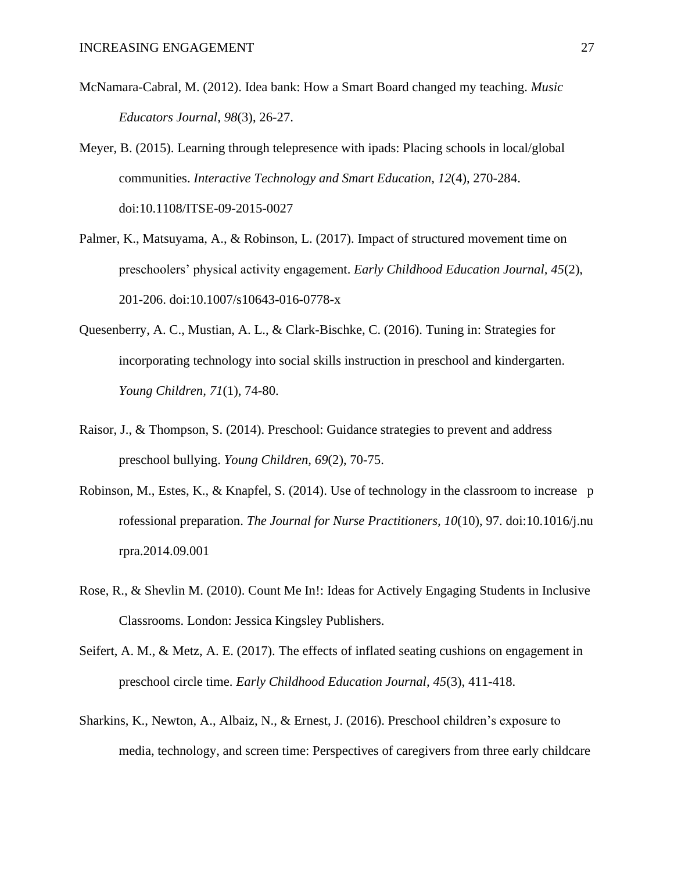- McNamara-Cabral, M. (2012). Idea bank: How a Smart Board changed my teaching. *Music Educators Journal, 98*(3), 26-27.
- Meyer, B. (2015). Learning through telepresence with ipads: Placing schools in local/global communities. *Interactive Technology and Smart Education, 12*(4), 270-284. doi:10.1108/ITSE-09-2015-0027
- Palmer, K., Matsuyama, A., & Robinson, L. (2017). Impact of structured movement time on preschoolers' physical activity engagement. *Early Childhood Education Journal, 45*(2), 201-206. doi:10.1007/s10643-016-0778-x
- Quesenberry, A. C., Mustian, A. L., & Clark-Bischke, C. (2016). Tuning in: Strategies for incorporating technology into social skills instruction in preschool and kindergarten. *Young Children, 71*(1), 74-80.
- Raisor, J., & Thompson, S. (2014). Preschool: Guidance strategies to prevent and address preschool bullying. *Young Children, 69*(2), 70-75.
- Robinson, M., Estes, K., & Knapfel, S. (2014). Use of technology in the classroom to increase p rofessional preparation. *The Journal for Nurse Practitioners, 10*(10), 97. doi:10.1016/j.nu rpra.2014.09.001
- Rose, R., & Shevlin M. (2010). Count Me In!: Ideas for Actively Engaging Students in Inclusive Classrooms. London: Jessica Kingsley Publishers.
- Seifert, A. M., & Metz, A. E. (2017). The effects of inflated seating cushions on engagement in preschool circle time. *Early Childhood Education Journal, 45*(3), 411-418.
- Sharkins, K., Newton, A., Albaiz, N., & Ernest, J. (2016). Preschool children's exposure to media, technology, and screen time: Perspectives of caregivers from three early childcare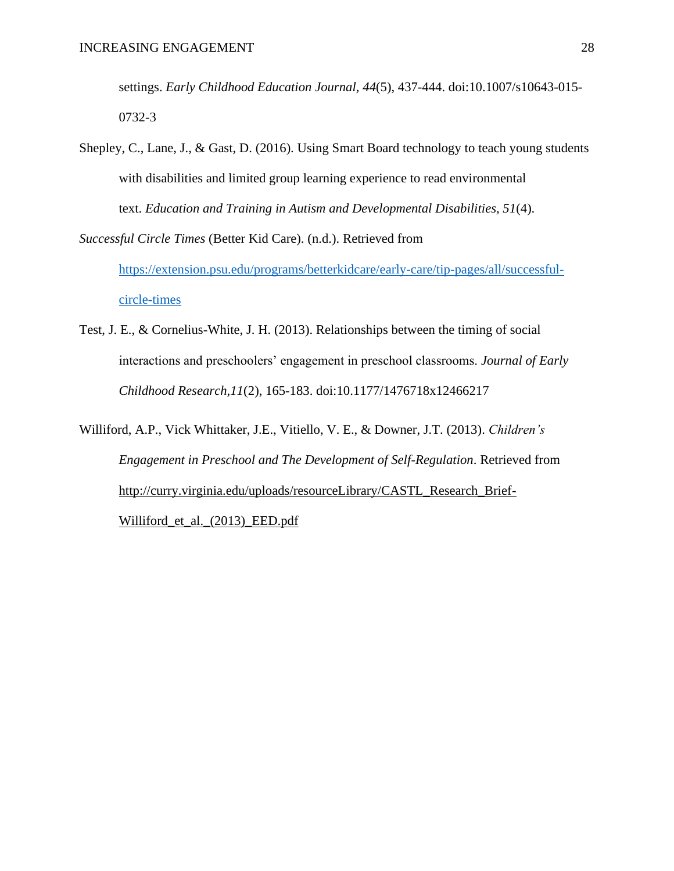settings. *Early Childhood Education Journal, 44*(5), 437-444. doi:10.1007/s10643-015- 0732-3

Shepley, C., Lane, J., & Gast, D. (2016). Using Smart Board technology to teach young students with disabilities and limited group learning experience to read environmental text. *Education and Training in Autism and Developmental Disabilities, 51*(4).

*Successful Circle Times* (Better Kid Care). (n.d.). Retrieved from [https://extension.psu.edu/programs/betterkidcare/early-care/tip-pages/all/successful](https://extension.psu.edu/programs/betterkidcare/early-care/tip-pages/all/successful-circle-times)[circle-times](https://extension.psu.edu/programs/betterkidcare/early-care/tip-pages/all/successful-circle-times)

Test, J. E., & Cornelius-White, J. H. (2013). Relationships between the timing of social interactions and preschoolers' engagement in preschool classrooms. *Journal of Early Childhood Research,11*(2), 165-183. doi:10.1177/1476718x12466217

Williford, A.P., Vick Whittaker, J.E., Vitiello, V. E., & Downer, J.T. (2013). *Children's Engagement in Preschool and The Development of Self-Regulation*. Retrieved from [http://curry.virginia.edu/uploads/resourceLibrary/CASTL\\_Research\\_Brief-](http://curry.virginia.edu/uploads/resourceLibrary/CASTL_Research_Brief-Williford_et_al._(2013)_EED.pdf)[Williford\\_et\\_al.\\_\(2013\)\\_EED.pdf](http://curry.virginia.edu/uploads/resourceLibrary/CASTL_Research_Brief-Williford_et_al._(2013)_EED.pdf)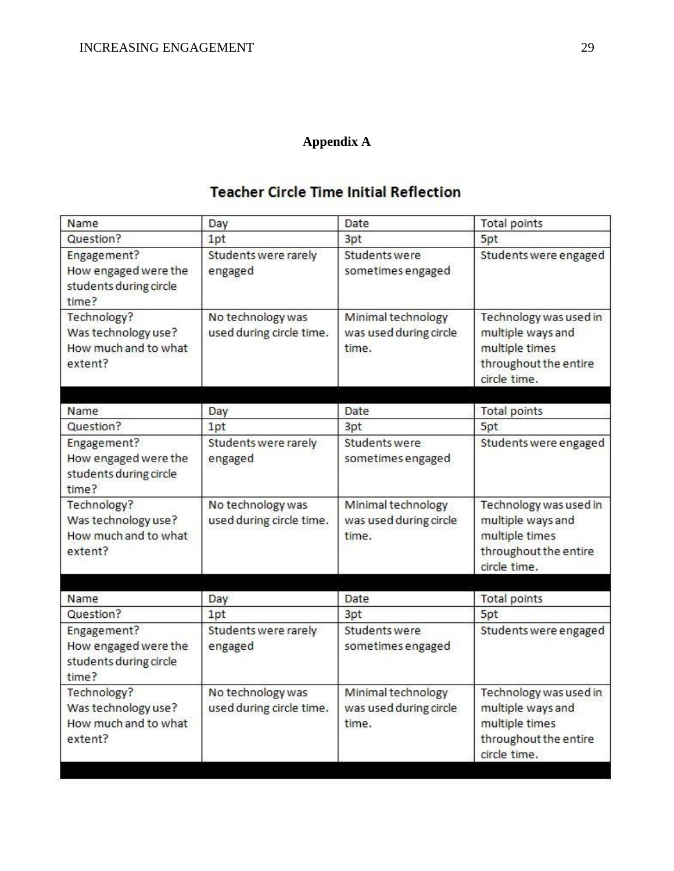## **Appendix A**

## **Teacher Circle Time Initial Reflection**

<span id="page-29-0"></span>

| Name                                                                   | Day                                           | Date                                                  | <b>Total points</b>                                                                                    |
|------------------------------------------------------------------------|-----------------------------------------------|-------------------------------------------------------|--------------------------------------------------------------------------------------------------------|
| Question?                                                              | 1pt                                           | 3pt                                                   | 5pt                                                                                                    |
| Engagement?<br>How engaged were the<br>students during circle<br>time? | Students were rarely<br>engaged               | Students were<br>sometimes engaged                    | Students were engaged                                                                                  |
| Technology?<br>Was technology use?<br>How much and to what<br>extent?  | No technology was<br>used during circle time. | Minimal technology<br>was used during circle<br>time. | Technology was used in<br>multiple ways and<br>multiple times<br>throughout the entire<br>circle time. |
| Name                                                                   |                                               | Date                                                  | <b>Total points</b>                                                                                    |
| Question?                                                              | Day<br>1pt                                    | 3pt                                                   | 5pt                                                                                                    |
| Engagement?<br>How engaged were the<br>students during circle<br>time? | Students were rarely<br>engaged               | Students were<br>sometimes engaged                    | Students were engaged                                                                                  |
| Technology?<br>Was technology use?<br>How much and to what<br>extent?  | No technology was<br>used during circle time. | Minimal technology<br>was used during circle<br>time. | Technology was used in<br>multiple ways and<br>multiple times<br>throughout the entire<br>circle time. |
|                                                                        |                                               |                                                       |                                                                                                        |
| Name                                                                   | Day                                           | Date                                                  | <b>Total points</b>                                                                                    |
| Question?                                                              | 1pt                                           | 3pt                                                   | 5pt                                                                                                    |
| Engagement?<br>How engaged were the<br>students during circle<br>time? | Students were rarely<br>engaged               | Students were<br>sometimes engaged                    | Students were engaged                                                                                  |
| Technology?<br>Was technology use?<br>How much and to what<br>extent?  | No technology was<br>used during circle time. | Minimal technology<br>was used during circle<br>time. | Technology was used in<br>multiple ways and<br>multiple times<br>throughout the entire<br>circle time. |